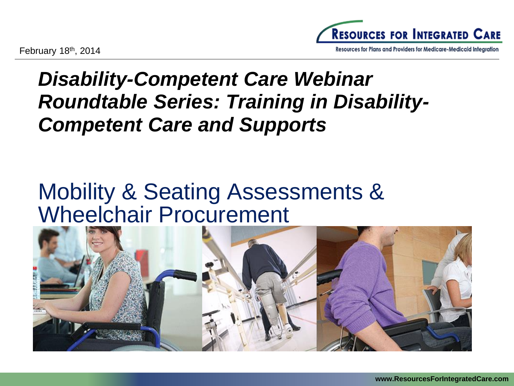Resources for Plans and Providers for Medicare-Medicaid Integration

# *Disability-Competent Care Webinar Roundtable Series: Training in Disability-Competent Care and Supports*

# Mobility & Seating Assessments & Wheelchair Procurement

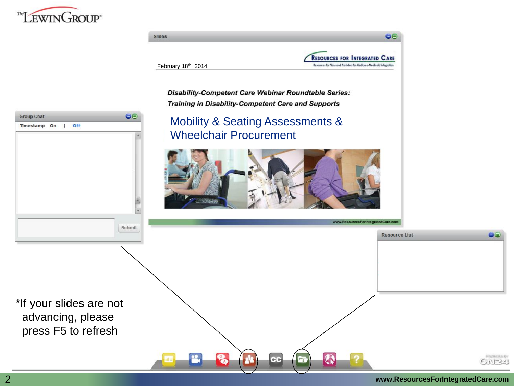



#### 2 **www.ResourcesForIntegratedCare.com**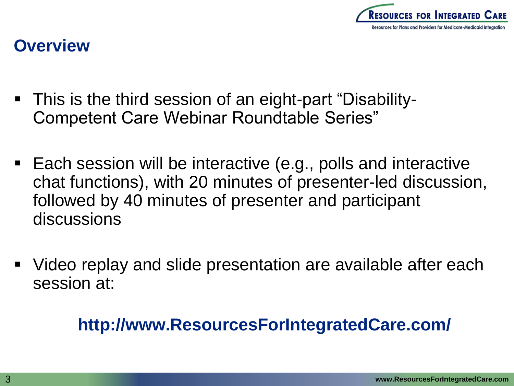

#### **Overview**

- This is the third session of an eight-part "Disability-Competent Care Webinar Roundtable Series"
- Each session will be interactive (e.g., polls and interactive chat functions), with 20 minutes of presenter-led discussion, followed by 40 minutes of presenter and participant discussions
- Video replay and slide presentation are available after each session at:

### **http://www.ResourcesForIntegratedCare.com/**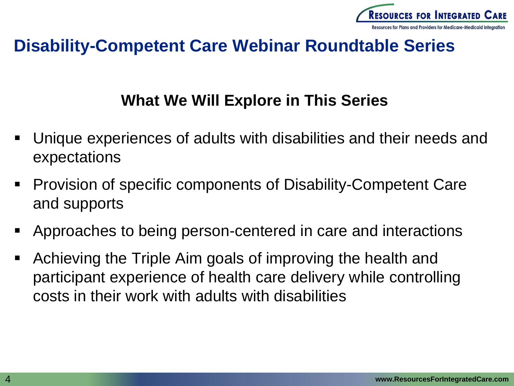

#### **Disability-Competent Care Webinar Roundtable Series**

#### **What We Will Explore in This Series**

- Unique experiences of adults with disabilities and their needs and expectations
- Provision of specific components of Disability-Competent Care and supports
- Approaches to being person-centered in care and interactions
- Achieving the Triple Aim goals of improving the health and participant experience of health care delivery while controlling costs in their work with adults with disabilities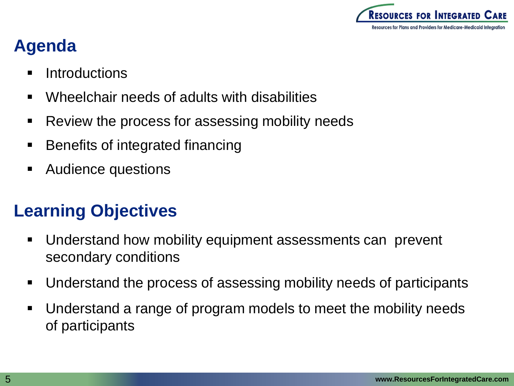

### **Agenda**

- **Introductions**
- Wheelchair needs of adults with disabilities
- Review the process for assessing mobility needs
- Benefits of integrated financing
- Audience questions

### **Learning Objectives**

- Understand how mobility equipment assessments can prevent secondary conditions
- Understand the process of assessing mobility needs of participants
- Understand a range of program models to meet the mobility needs of participants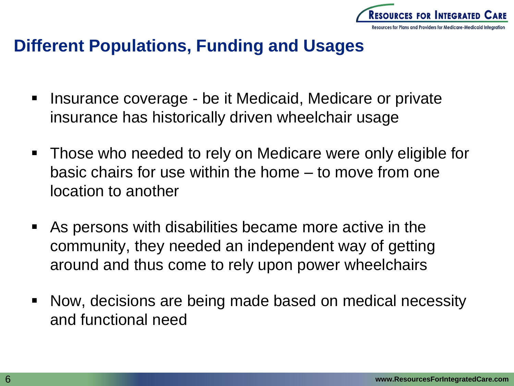

#### **Different Populations, Funding and Usages**

- **Insurance coverage be it Medicaid, Medicare or private** insurance has historically driven wheelchair usage
- Those who needed to rely on Medicare were only eligible for basic chairs for use within the home – to move from one location to another
- As persons with disabilities became more active in the community, they needed an independent way of getting around and thus come to rely upon power wheelchairs
- Now, decisions are being made based on medical necessity and functional need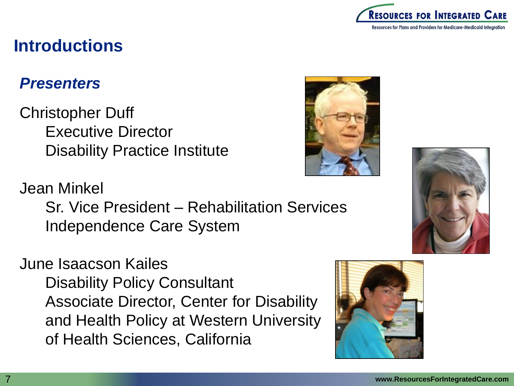

#### **Introductions**

#### *Presenters*

Christopher Duff Executive Director Disability Practice Institute

Jean Minkel

Sr. Vice President – Rehabilitation Services Independence Care System

June Isaacson Kailes Disability Policy Consultant Associate Director, Center for Disability and Health Policy at Western University of Health Sciences, California





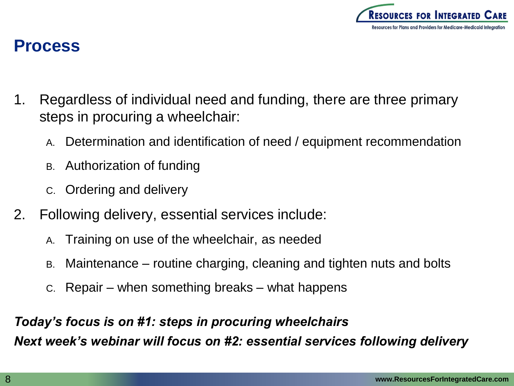

#### **Process**

- 1. Regardless of individual need and funding, there are three primary steps in procuring a wheelchair:
	- A. Determination and identification of need / equipment recommendation
	- B. Authorization of funding
	- C. Ordering and delivery
- 2. Following delivery, essential services include:
	- A. Training on use of the wheelchair, as needed
	- B. Maintenance routine charging, cleaning and tighten nuts and bolts
	- C. Repair when something breaks what happens

*Today's focus is on #1: steps in procuring wheelchairs Next week's webinar will focus on #2: essential services following delivery*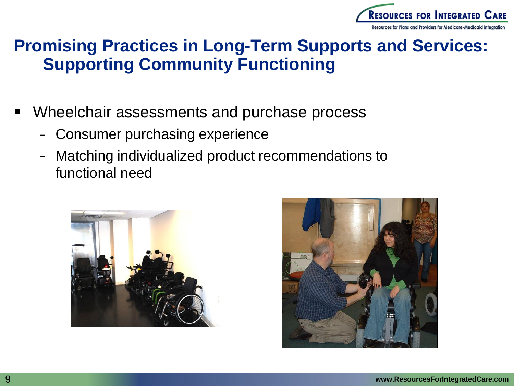

#### **Promising Practices in Long-Term Supports and Services: Supporting Community Functioning**

- Wheelchair assessments and purchase process
	- Consumer purchasing experience
	- − Matching individualized product recommendations to functional need



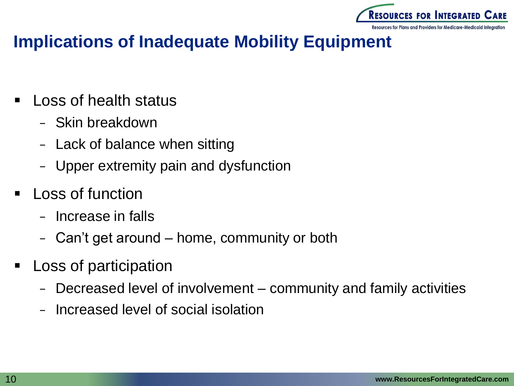

#### **Implications of Inadequate Mobility Equipment**

- Loss of health status
	- − Skin breakdown
	- − Lack of balance when sitting
	- Upper extremity pain and dysfunction
- Loss of function
	- − Increase in falls
	- − Can't get around home, community or both
- Loss of participation
	- − Decreased level of involvement community and family activities
	- − Increased level of social isolation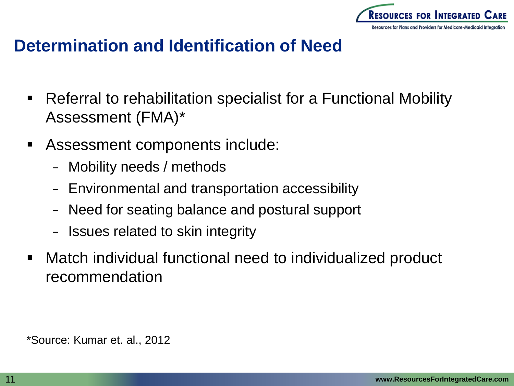

#### **Determination and Identification of Need**

- Referral to rehabilitation specialist for a Functional Mobility Assessment (FMA)\*
- Assessment components include:
	- − Mobility needs / methods
	- Environmental and transportation accessibility
	- − Need for seating balance and postural support
	- − Issues related to skin integrity
- Match individual functional need to individualized product recommendation

\*Source: Kumar et. al., 2012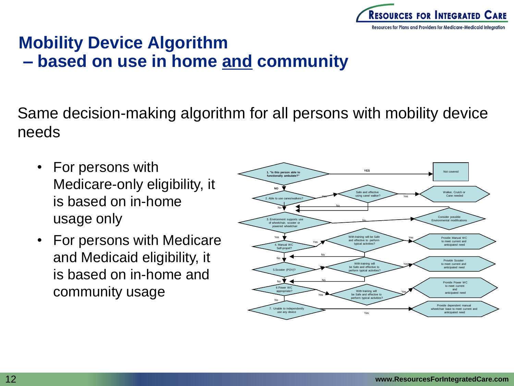

### **Mobility Device Algorithm – based on use in home and community**

Same decision-making algorithm for all persons with mobility device needs

- For persons with Medicare-only eligibility, it is based on in-home usage only
- For persons with Medicare and Medicaid eligibility, it is based on in-home and community usage

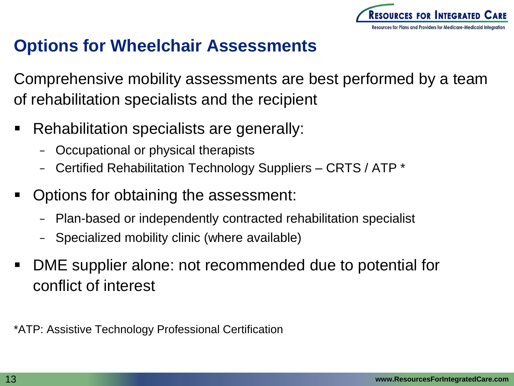

#### **Options for Wheelchair Assessments**

Comprehensive mobility assessments are best performed by a team of rehabilitation specialists and the recipient

- **Rehabilitation specialists are generally:** 
	- − Occupational or physical therapists
	- − Certified Rehabilitation Technology Suppliers CRTS / ATP \*
- Options for obtaining the assessment:
	- − Plan-based or independently contracted rehabilitation specialist
	- Specialized mobility clinic (where available)
- DME supplier alone: not recommended due to potential for conflict of interest

\*ATP: Assistive Technology Professional Certification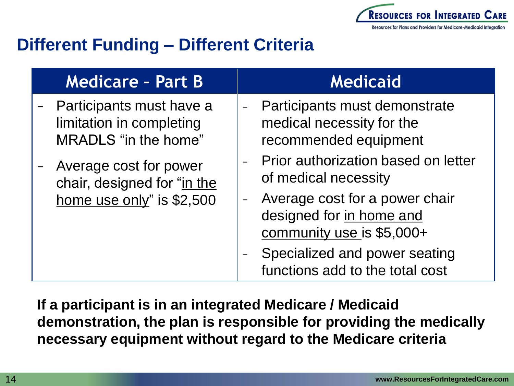

### **Different Funding – Different Criteria**

| <b>Medicare - Part B</b>                                                           | <b>Medicaid</b>                                                                         |
|------------------------------------------------------------------------------------|-----------------------------------------------------------------------------------------|
| Participants must have a<br>limitation in completing<br>MRADLS "in the home"       | Participants must demonstrate<br>medical necessity for the<br>recommended equipment     |
| Average cost for power<br>chair, designed for "in the<br>home use only" is \$2,500 | Prior authorization based on letter<br>of medical necessity                             |
|                                                                                    | Average cost for a power chair<br>designed for in home and<br>community use is \$5,000+ |
|                                                                                    | Specialized and power seating<br>functions add to the total cost                        |

**If a participant is in an integrated Medicare / Medicaid demonstration, the plan is responsible for providing the medically necessary equipment without regard to the Medicare criteria**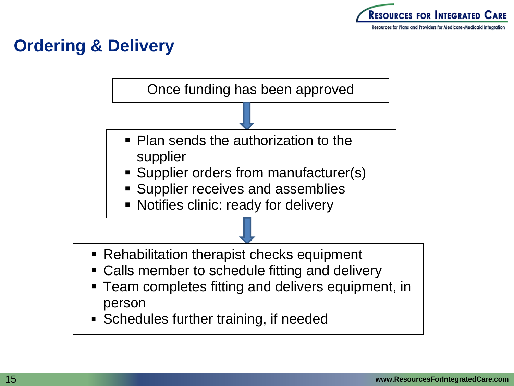

### **Ordering & Delivery**

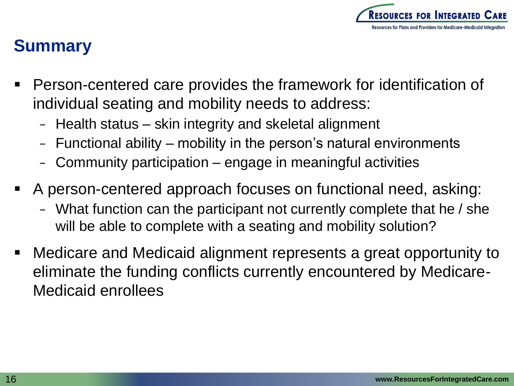

### **Summary**

- Person-centered care provides the framework for identification of individual seating and mobility needs to address:
	- − Health status skin integrity and skeletal alignment
	- − Functional ability mobility in the person's natural environments
	- Community participation engage in meaningful activities
- A person-centered approach focuses on functional need, asking:
	- − What function can the participant not currently complete that he / she will be able to complete with a seating and mobility solution?
- Medicare and Medicaid alignment represents a great opportunity to eliminate the funding conflicts currently encountered by Medicare-Medicaid enrollees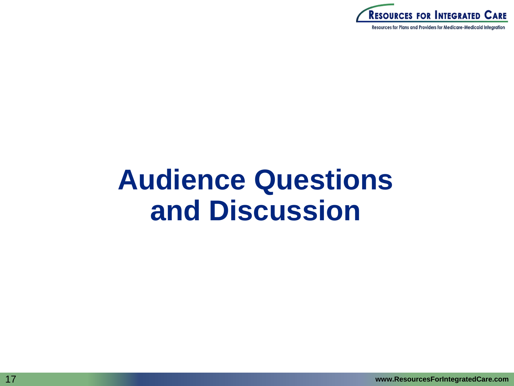

# **Audience Questions and Discussion**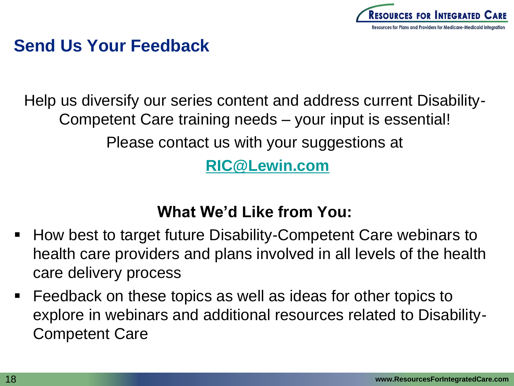

#### **Send Us Your Feedback**

Help us diversify our series content and address current Disability-Competent Care training needs – your input is essential!

Please contact us with your suggestions at

**[RIC@Lewin.com](mailto:RIC@Lewin.com)**

#### **What We'd Like from You:**

- How best to target future Disability-Competent Care webinars to health care providers and plans involved in all levels of the health care delivery process
- Feedback on these topics as well as ideas for other topics to explore in webinars and additional resources related to Disability-Competent Care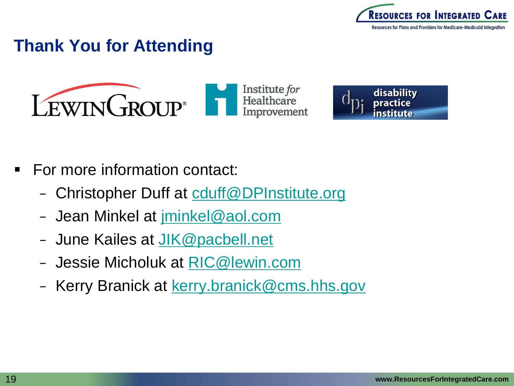

#### **Thank You for Attending**





- For more information contact:
	- − Christopher Duff at [cduff@DPInstitute.org](mailto:cduff@DPInstitute.org)
	- − Jean Minkel at [jminkel@aol.com](mailto:jminkel@aol.com)
	- − June Kailes at [JIK@pacbell.net](mailto:JIK@pacbell.net)
	- − Jessie Micholuk at [RIC@lewin.com](mailto:RIC@lewin.com)
	- − Kerry Branick at [kerry.branick@cms.hhs.gov](mailto:kerry.branick@cms.hhs.gov)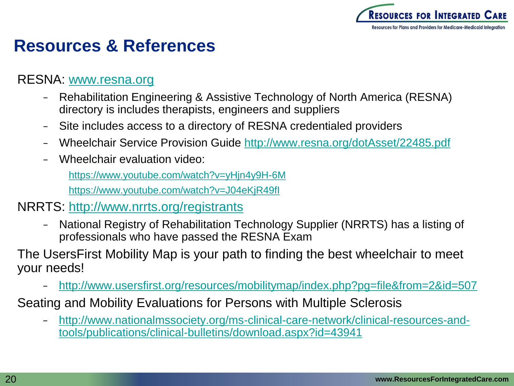

#### **Resources & References**

#### RESNA: [www.resna.org](http://www.resna.org/)

- − Rehabilitation Engineering & Assistive Technology of North America (RESNA) directory is includes therapists, engineers and suppliers
- − Site includes access to a directory of RESNA credentialed providers
- − Wheelchair Service Provision Guide<http://www.resna.org/dotAsset/22485.pdf>
- − Wheelchair evaluation video:

<https://www.youtube.com/watch?v=yHjn4y9H-6M>

<https://www.youtube.com/watch?v=J04eKjR49fI>

#### NRRTS:<http://www.nrrts.org/registrants>

− National Registry of Rehabilitation Technology Supplier (NRRTS) has a listing of professionals who have passed the RESNA Exam

The UsersFirst Mobility Map is your path to finding the best wheelchair to meet your needs[!](http://www.usersfirst.org/resources/mobilitymap/index.php?pg=file&from=2&id=507)

- − <http://www.usersfirst.org/resources/mobilitymap/index.php?pg=file&from=2&id=507>
- Seating and Mobility Evaluations for Persons with Multiple Sclerosis
	- − [http://www.nationalmssociety.org/ms-clinical-care-network/clinical-resources-and](http://www.nationalmssociety.org/ms-clinical-care-network/clinical-resources-and-tools/publications/clinical-bulletins/download.aspx?id=43941)[tools/publications/clinical-bulletins/download.aspx?id=43941](http://www.nationalmssociety.org/ms-clinical-care-network/clinical-resources-and-tools/publications/clinical-bulletins/download.aspx?id=43941)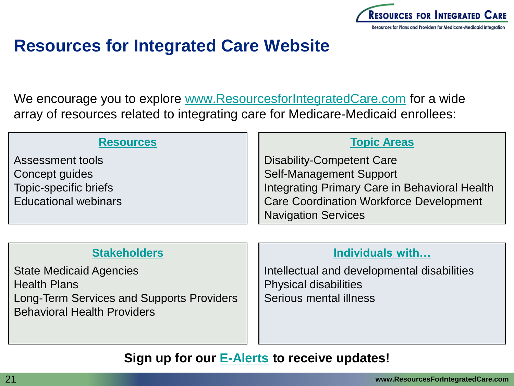

#### **Resources for Integrated Care Website**

We encourage you to explore [www.ResourcesforIntegratedCare.com](http://www.resourcesforintegratedcare.com/) for a wide array of resources related to integrating care for Medicare-Medicaid enrollees:

#### **[Resources](https://www.resourcesforintegratedcare.com/resource-library)** Assessment tools Concept guides Topic-specific briefs Educational webinars **[Topic Areas](https://www.resourcesforintegratedcare.com/concepts)** Disability-Competent Care Self-Management Support Integrating Primary Care in Behavioral Health Care Coordination Workforce Development Navigation Services

#### **[Stakeholders](https://www.resourcesforintegratedcare.com/stakeholders)**

State Medicaid Agencies Health Plans Long-Term Services and Supports Providers Behavioral Health Providers

#### **[Individuals with…](https://www.resourcesforintegratedcare.com/target-populations)**

Intellectual and developmental disabilities Physical disabilities Serious mental illness

#### **Sign up for our [E-Alerts](https://www.resourcesforintegratedcare.com/email-updates) to receive updates!**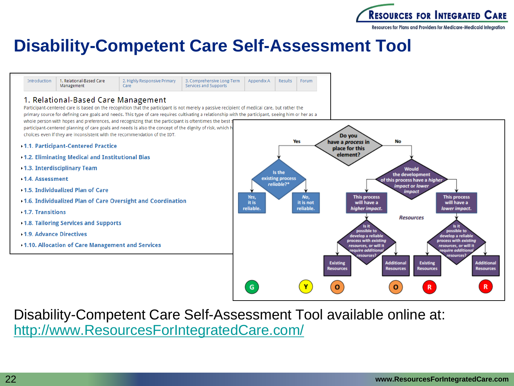

#### **Disability-Competent Care Self-Assessment Tool**

Appendix A

Results

Forum

2. Highly Responsive Primary Introduction 1. Relational-Based Care 3. Comprehensive Long-Term Management Care Services and Supports

#### 1. Relational-Based Care Management

Participant-centered care is based on the recognition that the participant is not merely a passive recipient of medical care, but rather the primary source for defining care goals and needs. This type of care requires cultivating a relationship with the participant, seeing him or her as a whole person with hopes and preferences, and recognizing that the participant is oftentimes the best g participant-centered planning of care goals and needs is also the concept of the dignity of risk, which h

choices even if they are inconsistent with the recommendation of the IDT.

- 1.1. Participant-Centered Practice
- 1.2. Eliminating Medical and Institutional Bias
- 1.3. Interdisciplinary Team
- 1.4. Assessment
- 1.5. Individualized Plan of Care
- 1.6. Individualized Plan of Care Oversight and Coordination
- 1.7. Transitions
- 1.8. Tailoring Services and Supports
- **1.9. Advance Directives**
- 1.10. Allocation of Care Management and Services



Disability-Competent Care Self-Assessment Tool available online at: [http://www.ResourcesForIntegratedCare.com/](http://www.resourcesforintegratedcare.com/)